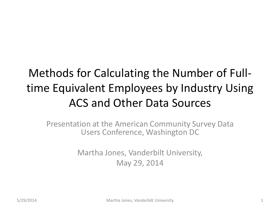#### Methods for Calculating the Number of Fulltime Equivalent Employees by Industry Using ACS and Other Data Sources

Presentation at the American Community Survey Data Users Conference, Washington DC

> Martha Jones, Vanderbilt University, May 29, 2014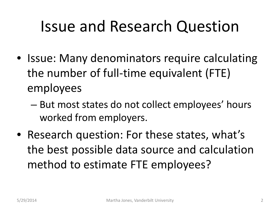### Issue and Research Question

- Issue: Many denominators require calculating the number of full-time equivalent (FTE) employees
	- But most states do not collect employees' hours worked from employers.
- Research question: For these states, what's the best possible data source and calculation method to estimate FTE employees?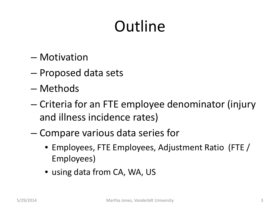# **Outline**

- Motivation
- Proposed data sets
- Methods
- Criteria for an FTE employee denominator (injury and illness incidence rates)
- Compare various data series for
	- Employees, FTE Employees, Adjustment Ratio (FTE / Employees)
	- using data from CA, WA, US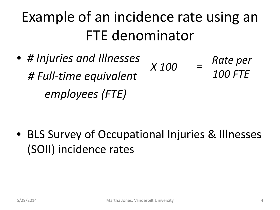### Example of an incidence rate using an FTE denominator

- *# Injuries and Illnesses # Full-time equivalent employees (FTE)*
	- *x* 100 = Rate per *100 FTE =*

• BLS Survey of Occupational Injuries & Illnesses (SOII) incidence rates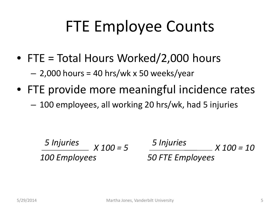## FTE Employee Counts

- FTE = Total Hours Worked/2,000 hours
	- $-2,000$  hours = 40 hrs/wk x 50 weeks/year
- FTE provide more meaningful incidence rates
	- 100 employees, all working 20 hrs/wk, had 5 injuries

5 Injuries 
$$
X100 = 5
$$
  
100 Employees

*X 100 = 5 5 Injuries 50 FTE Employees X 100 = 10*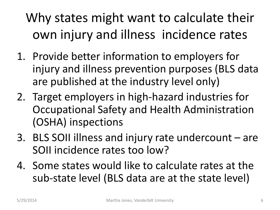#### Why states might want to calculate their own injury and illness incidence rates

- 1. Provide better information to employers for injury and illness prevention purposes (BLS data are published at the industry level only)
- 2. Target employers in high-hazard industries for Occupational Safety and Health Administration (OSHA) inspections
- 3. BLS SOII illness and injury rate undercount are SOII incidence rates too low?
- 4. Some states would like to calculate rates at the sub-state level (BLS data are at the state level)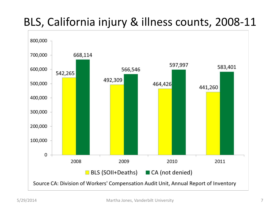#### BLS, California injury & illness counts, 2008-11

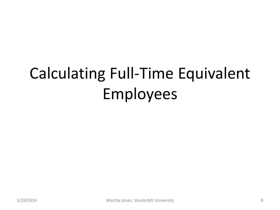# Calculating Full-Time Equivalent Employees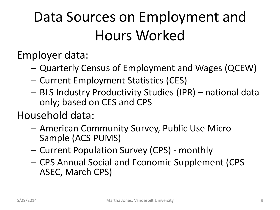## Data Sources on Employment and Hours Worked

Employer data:

- Quarterly Census of Employment and Wages (QCEW)
- Current Employment Statistics (CES)
- BLS Industry Productivity Studies (IPR) national data only; based on CES and CPS

Household data:

- American Community Survey, Public Use Micro Sample (ACS PUMS)
- Current Population Survey (CPS) monthly
- CPS Annual Social and Economic Supplement (CPS ASEC, March CPS)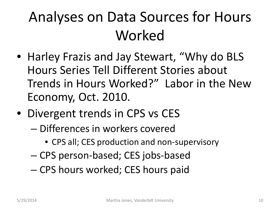## Analyses on Data Sources for Hours Worked

- Harley Frazis and Jay Stewart, "Why do BLS Hours Series Tell Different Stories about Trends in Hours Worked?" Labor in the New Economy, Oct. 2010.
- Divergent trends in CPS vs CES
	- Differences in workers covered
		- CPS all; CES production and non-supervisory
	- CPS person-based; CES jobs-based
	- CPS hours worked; CES hours paid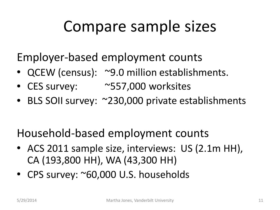## Compare sample sizes

Employer-based employment counts

- QCEW (census): ~9.0 million establishments.
- CES survey: ~557,000 worksites
- BLS SOII survey: ~230,000 private establishments

Household-based employment counts

- ACS 2011 sample size, interviews: US (2.1m HH), CA (193,800 HH), WA (43,300 HH)
- CPS survey: ~60,000 U.S. households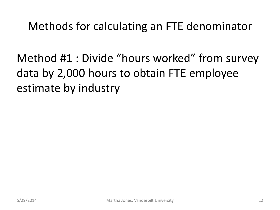Methods for calculating an FTE denominator

Method #1 : Divide "hours worked" from survey data by 2,000 hours to obtain FTE employee estimate by industry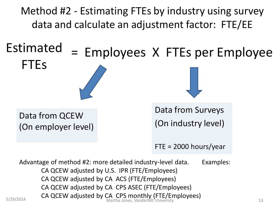Method #2 - Estimating FTEs by industry using survey data and calculate an adjustment factor: FTE/EE

## = Employees X FTEs per Employee Estimated FTEs

Data from QCEW (On employer level) Data from Surveys (On industry level)

 $FTE = 2000$  hours/year

Advantage of method #2: more detailed industry-level data. Examples: CA QCEW adjusted by U.S. IPR (FTE/Employees) CA QCEW adjusted by CA ACS (FTE/Employees) CA QCEW adjusted by CA CPS ASEC (FTE/Employees) S/29/2014 **CA QCEW adjusted by CA CPS monthly (FTE/Employees) CA QCEW adjusted by CA CPS monthly (FTE/Employees)**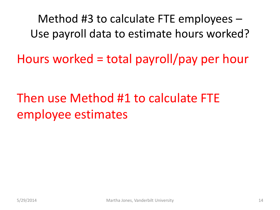Method #3 to calculate FTE employees – Use payroll data to estimate hours worked?

Hours worked = total payroll/pay per hour

Then use Method #1 to calculate FTE employee estimates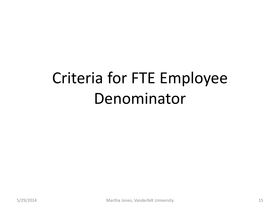# Criteria for FTE Employee Denominator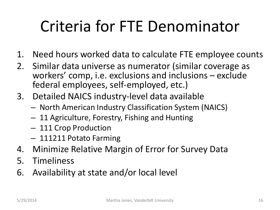## Criteria for FTE Denominator

- 1. Need hours worked data to calculate FTE employee counts
- 2. Similar data universe as numerator (similar coverage as workers' comp, i.e. exclusions and inclusions – exclude federal employees, self-employed, etc.)
- 3. Detailed NAICS industry-level data available
	- North American Industry Classification System (NAICS)
	- 11 Agriculture, Forestry, Fishing and Hunting
	- 111 Crop Production
	- 111211 Potato Farming
- 4. Minimize Relative Margin of Error for Survey Data
- 5. Timeliness
- 6. Availability at state and/or local level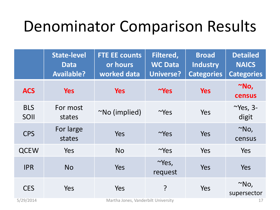### Denominator Comparison Results

|                         | <b>State-level</b><br><b>Data</b><br><b>Available?</b> | <b>FTE EE counts</b><br>or hours<br>worked data | <b>Filtered,</b><br><b>WC Data</b><br><b>Universe?</b> | <b>Broad</b><br><b>Industry</b><br><b>Categories</b> | <b>Detailed</b><br><b>NAICS</b><br><b>Categories</b> |
|-------------------------|--------------------------------------------------------|-------------------------------------------------|--------------------------------------------------------|------------------------------------------------------|------------------------------------------------------|
| <b>ACS</b>              | <b>Yes</b>                                             | <b>Yes</b>                                      | $\sim$ Yes                                             | <b>Yes</b>                                           | $^{\sim}$ No,<br>census                              |
| <b>BLS</b><br>SOII      | For most<br>states                                     | $^{\sim}$ No (implied)                          | $\sim$ Yes                                             | Yes                                                  | $\sim$ Yes, 3-<br>digit                              |
| <b>CPS</b>              | For large<br>states                                    | Yes                                             | $\sim$ Yes                                             | Yes                                                  | $^{\sim}$ No,<br>census                              |
| <b>QCEW</b>             | Yes                                                    | <b>No</b>                                       | $\sim$ Yes                                             | Yes                                                  | Yes                                                  |
| <b>IPR</b>              | <b>No</b>                                              | Yes                                             | $\sim$ Yes,<br>request                                 | Yes                                                  | Yes                                                  |
| <b>CES</b><br>5/29/2014 | Yes                                                    | Yes<br>Martha Jones, Vanderbilt University      | ?                                                      | Yes                                                  | $^{\sim}$ No,<br>supersector<br>17                   |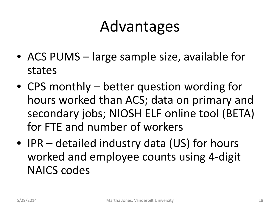#### Advantages

- ACS PUMS large sample size, available for states
- CPS monthly better question wording for hours worked than ACS; data on primary and secondary jobs; NIOSH ELF online tool (BETA) for FTE and number of workers
- IPR detailed industry data (US) for hours worked and employee counts using 4-digit NAICS codes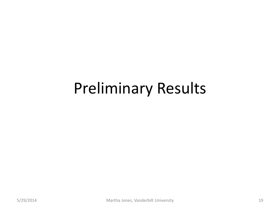#### Preliminary Results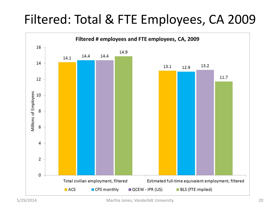#### Filtered: Total & FTE Employees, CA 2009

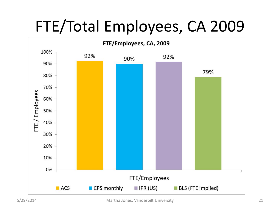## FTE/Total Employees, CA 2009

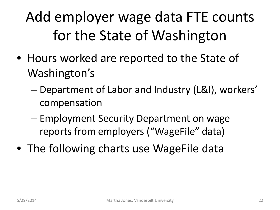## Add employer wage data FTE counts for the State of Washington

- Hours worked are reported to the State of Washington's
	- Department of Labor and Industry (L&I), workers' compensation
	- Employment Security Department on wage reports from employers ("WageFile" data)
- The following charts use WageFile data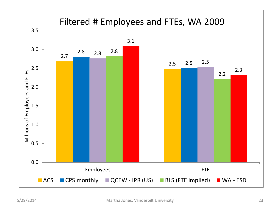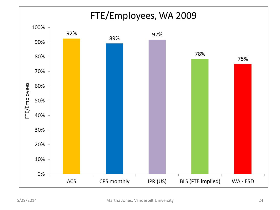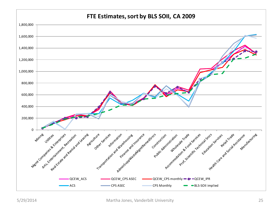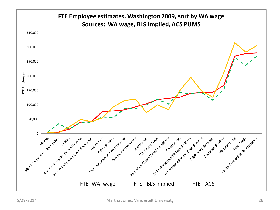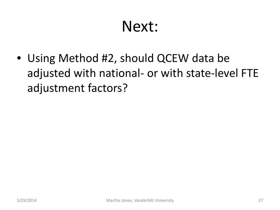#### Next:

• Using Method #2, should QCEW data be adjusted with national- or with state-level FTE adjustment factors?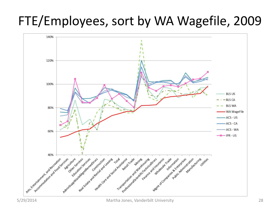#### FTE/Employees, sort by WA Wagefile, 2009

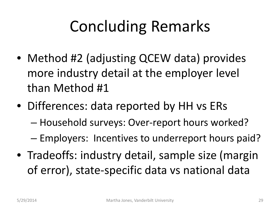## Concluding Remarks

- Method #2 (adjusting QCEW data) provides more industry detail at the employer level than Method #1
- Differences: data reported by HH vs ERs
	- Household surveys: Over-report hours worked?
	- Employers: Incentives to underreport hours paid?
- Tradeoffs: industry detail, sample size (margin of error), state-specific data vs national data